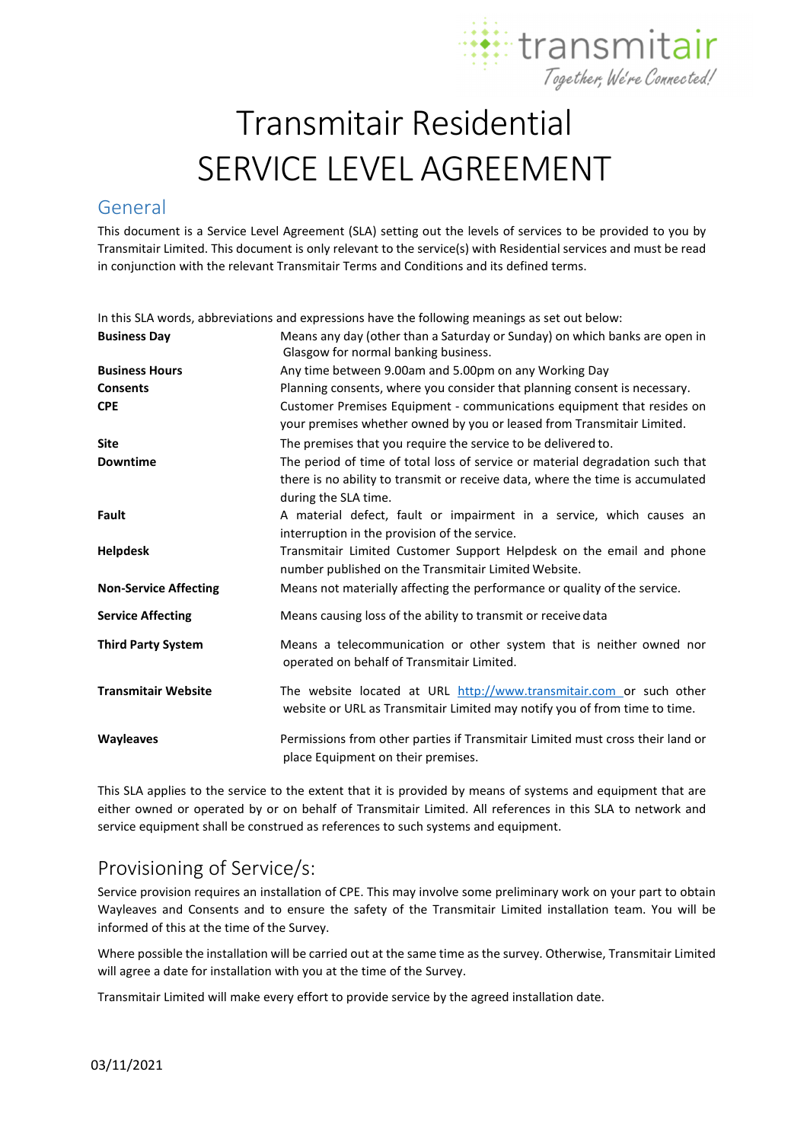

# Transmitair Residential SERVICE LEVEL AGREEMENT

### General

This document is a Service Level Agreement (SLA) setting out the levels of services to be provided to you by Transmitair Limited. This document is only relevant to the service(s) with Residential services and must be read in conjunction with the relevant Transmitair Terms and Conditions and its defined terms.

In this SLA words, abbreviations and expressions have the following meanings as set out below: **Business Day** Means any day (other than a Saturday or Sunday) on which banks are open in

|                              | Glasgow for normal banking business.                                                                                                                                                    |  |  |  |
|------------------------------|-----------------------------------------------------------------------------------------------------------------------------------------------------------------------------------------|--|--|--|
| <b>Business Hours</b>        | Any time between 9.00am and 5.00pm on any Working Day                                                                                                                                   |  |  |  |
| <b>Consents</b>              | Planning consents, where you consider that planning consent is necessary.                                                                                                               |  |  |  |
| <b>CPE</b>                   | Customer Premises Equipment - communications equipment that resides on<br>your premises whether owned by you or leased from Transmitair Limited.                                        |  |  |  |
| <b>Site</b>                  | The premises that you require the service to be delivered to.                                                                                                                           |  |  |  |
| <b>Downtime</b>              | The period of time of total loss of service or material degradation such that<br>there is no ability to transmit or receive data, where the time is accumulated<br>during the SLA time. |  |  |  |
| Fault                        | A material defect, fault or impairment in a service, which causes an<br>interruption in the provision of the service.                                                                   |  |  |  |
| <b>Helpdesk</b>              | Transmitair Limited Customer Support Helpdesk on the email and phone<br>number published on the Transmitair Limited Website.                                                            |  |  |  |
| <b>Non-Service Affecting</b> | Means not materially affecting the performance or quality of the service.                                                                                                               |  |  |  |
| <b>Service Affecting</b>     | Means causing loss of the ability to transmit or receive data                                                                                                                           |  |  |  |
| <b>Third Party System</b>    | Means a telecommunication or other system that is neither owned nor<br>operated on behalf of Transmitair Limited.                                                                       |  |  |  |
| <b>Transmitair Website</b>   | The website located at URL http://www.transmitair.com or such other<br>website or URL as Transmitair Limited may notify you of from time to time.                                       |  |  |  |
| <b>Wayleaves</b>             | Permissions from other parties if Transmitair Limited must cross their land or<br>place Equipment on their premises.                                                                    |  |  |  |

This SLA applies to the service to the extent that it is provided by means of systems and equipment that are either owned or operated by or on behalf of Transmitair Limited. All references in this SLA to network and service equipment shall be construed as references to such systems and equipment.

## Provisioning of Service/s:

Service provision requires an installation of CPE. This may involve some preliminary work on your part to obtain Wayleaves and Consents and to ensure the safety of the Transmitair Limited installation team. You will be informed of this at the time of the Survey.

Where possible the installation will be carried out at the same time as the survey. Otherwise, Transmitair Limited will agree a date for installation with you at the time of the Survey.

Transmitair Limited will make every effort to provide service by the agreed installation date.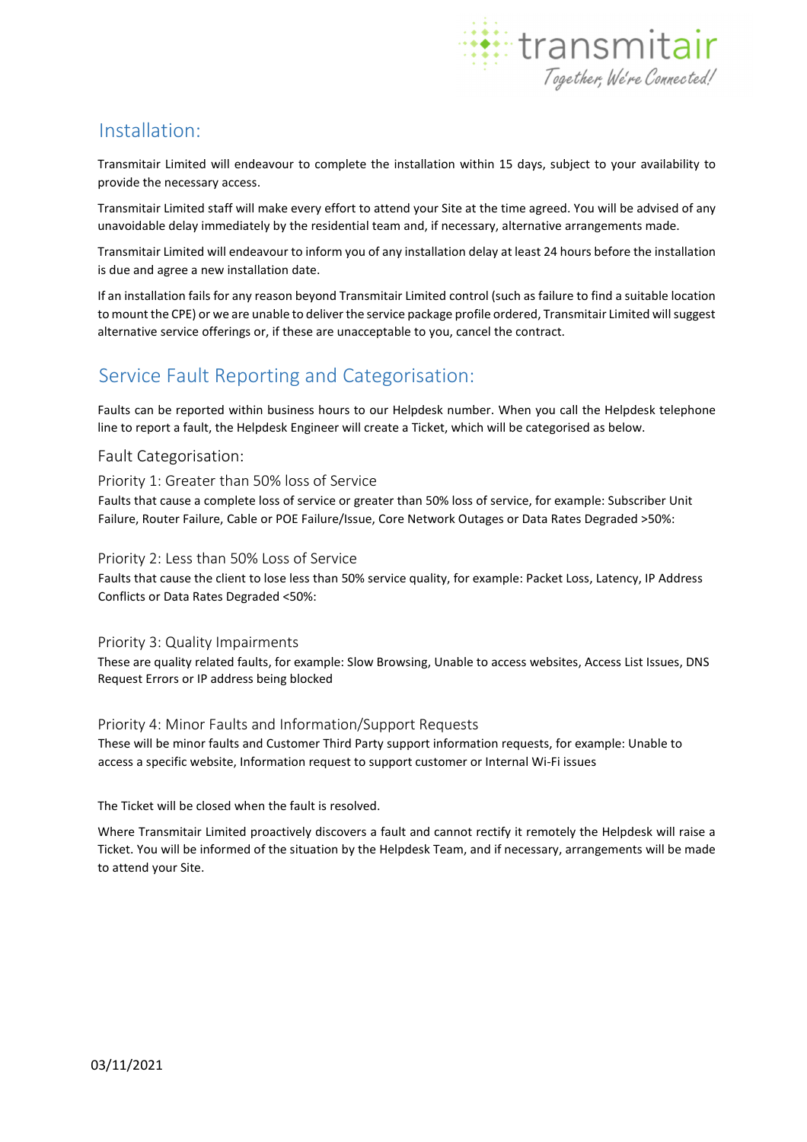

### Installation:

Transmitair Limited will endeavour to complete the installation within 15 days, subject to your availability to provide the necessary access.

Transmitair Limited staff will make every effort to attend your Site at the time agreed. You will be advised of any unavoidable delay immediately by the residential team and, if necessary, alternative arrangements made.

Transmitair Limited will endeavour to inform you of any installation delay at least 24 hours before the installation is due and agree a new installation date.

If an installation fails for any reason beyond Transmitair Limited control (such as failure to find a suitable location to mount the CPE) or we are unable to deliver the service package profile ordered, Transmitair Limited will suggest alternative service offerings or, if these are unacceptable to you, cancel the contract.

## Service Fault Reporting and Categorisation:

Faults can be reported within business hours to our Helpdesk number. When you call the Helpdesk telephone line to report a fault, the Helpdesk Engineer will create a Ticket, which will be categorised as below.

#### Fault Categorisation:

#### Priority 1: Greater than 50% loss of Service

Faults that cause a complete loss of service or greater than 50% loss of service, for example: Subscriber Unit Failure, Router Failure, Cable or POE Failure/Issue, Core Network Outages or Data Rates Degraded >50%:

#### Priority 2: Less than 50% Loss of Service

Faults that cause the client to lose less than 50% service quality, for example: Packet Loss, Latency, IP Address Conflicts or Data Rates Degraded <50%:

#### Priority 3: Quality Impairments

These are quality related faults, for example: Slow Browsing, Unable to access websites, Access List Issues, DNS Request Errors or IP address being blocked

#### Priority 4: Minor Faults and Information/Support Requests

These will be minor faults and Customer Third Party support information requests, for example: Unable to access a specific website, Information request to support customer or Internal Wi-Fi issues

The Ticket will be closed when the fault is resolved.

Where Transmitair Limited proactively discovers a fault and cannot rectify it remotely the Helpdesk will raise a Ticket. You will be informed of the situation by the Helpdesk Team, and if necessary, arrangements will be made to attend your Site.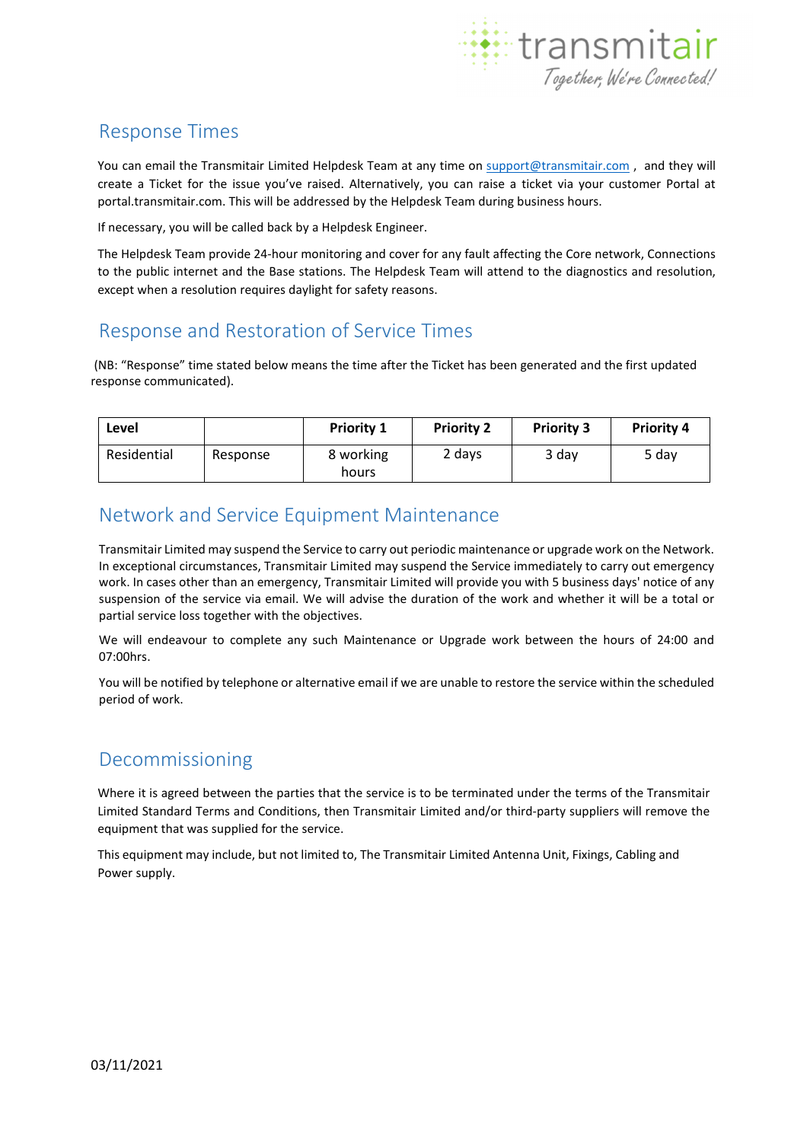

# Response Times

You can email the Transmitair Limited Helpdesk Team at any time on support@transmitair.com , and they will create a Ticket for the issue you've raised. Alternatively, you can raise a ticket via your customer Portal at portal.transmitair.com. This will be addressed by the Helpdesk Team during business hours.

If necessary, you will be called back by a Helpdesk Engineer.

The Helpdesk Team provide 24-hour monitoring and cover for any fault affecting the Core network, Connections to the public internet and the Base stations. The Helpdesk Team will attend to the diagnostics and resolution, except when a resolution requires daylight for safety reasons.

# Response and Restoration of Service Times

(NB: "Response" time stated below means the time after the Ticket has been generated and the first updated response communicated).

| Level       |          | <b>Priority 1</b>  | <b>Priority 2</b> | <b>Priority 3</b> | <b>Priority 4</b> |
|-------------|----------|--------------------|-------------------|-------------------|-------------------|
| Residential | Response | 8 working<br>hours | 2 days            | 3 day             | 5 dav             |

## Network and Service Equipment Maintenance

Transmitair Limited may suspend the Service to carry out periodic maintenance or upgrade work on the Network. In exceptional circumstances, Transmitair Limited may suspend the Service immediately to carry out emergency work. In cases other than an emergency, Transmitair Limited will provide you with 5 business days' notice of any suspension of the service via email. We will advise the duration of the work and whether it will be a total or partial service loss together with the objectives.

We will endeavour to complete any such Maintenance or Upgrade work between the hours of 24:00 and 07:00hrs.

You will be notified by telephone or alternative email if we are unable to restore the service within the scheduled period of work.

### Decommissioning

Where it is agreed between the parties that the service is to be terminated under the terms of the Transmitair Limited Standard Terms and Conditions, then Transmitair Limited and/or third-party suppliers will remove the equipment that was supplied for the service.

This equipment may include, but not limited to, The Transmitair Limited Antenna Unit, Fixings, Cabling and Power supply.